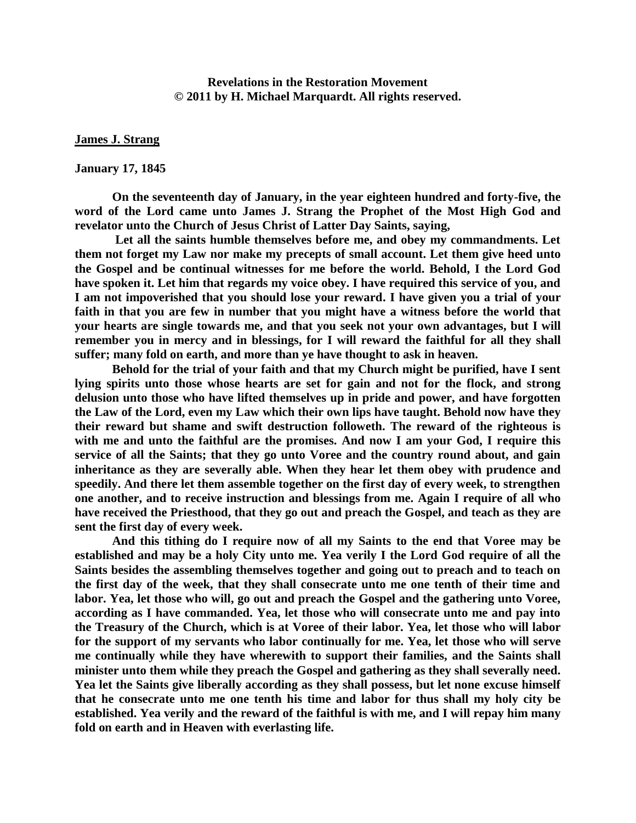**Revelations in the Restoration Movement © 2011 by H. Michael Marquardt. All rights reserved.**

#### **James J. Strang**

#### **January 17, 1845**

**On the seventeenth day of January, in the year eighteen hundred and forty-five, the word of the Lord came unto James J. Strang the Prophet of the Most High God and revelator unto the Church of Jesus Christ of Latter Day Saints, saying,**

**Let all the saints humble themselves before me, and obey my commandments. Let them not forget my Law nor make my precepts of small account. Let them give heed unto the Gospel and be continual witnesses for me before the world. Behold, I the Lord God have spoken it. Let him that regards my voice obey. I have required this service of you, and I am not impoverished that you should lose your reward. I have given you a trial of your faith in that you are few in number that you might have a witness before the world that your hearts are single towards me, and that you seek not your own advantages, but I will remember you in mercy and in blessings, for I will reward the faithful for all they shall suffer; many fold on earth, and more than ye have thought to ask in heaven.**

**Behold for the trial of your faith and that my Church might be purified, have I sent lying spirits unto those whose hearts are set for gain and not for the flock, and strong delusion unto those who have lifted themselves up in pride and power, and have forgotten the Law of the Lord, even my Law which their own lips have taught. Behold now have they their reward but shame and swift destruction followeth. The reward of the righteous is with me and unto the faithful are the promises. And now I am your God, I require this service of all the Saints; that they go unto Voree and the country round about, and gain inheritance as they are severally able. When they hear let them obey with prudence and speedily. And there let them assemble together on the first day of every week, to strengthen one another, and to receive instruction and blessings from me. Again I require of all who have received the Priesthood, that they go out and preach the Gospel, and teach as they are sent the first day of every week.**

**And this tithing do I require now of all my Saints to the end that Voree may be established and may be a holy City unto me. Yea verily I the Lord God require of all the Saints besides the assembling themselves together and going out to preach and to teach on the first day of the week, that they shall consecrate unto me one tenth of their time and labor. Yea, let those who will, go out and preach the Gospel and the gathering unto Voree, according as I have commanded. Yea, let those who will consecrate unto me and pay into the Treasury of the Church, which is at Voree of their labor. Yea, let those who will labor for the support of my servants who labor continually for me. Yea, let those who will serve me continually while they have wherewith to support their families, and the Saints shall minister unto them while they preach the Gospel and gathering as they shall severally need. Yea let the Saints give liberally according as they shall possess, but let none excuse himself that he consecrate unto me one tenth his time and labor for thus shall my holy city be established. Yea verily and the reward of the faithful is with me, and I will repay him many fold on earth and in Heaven with everlasting life.**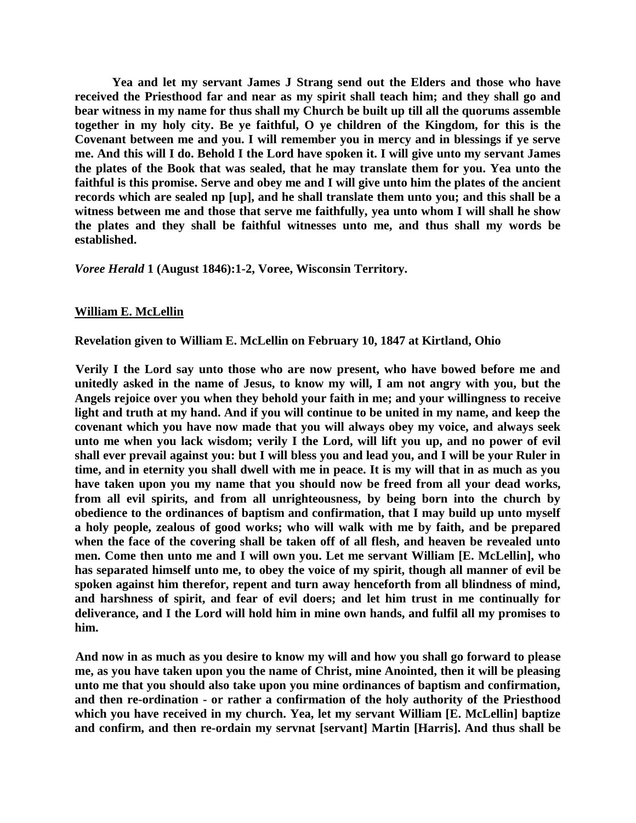**Yea and let my servant James J Strang send out the Elders and those who have received the Priesthood far and near as my spirit shall teach him; and they shall go and bear witness in my name for thus shall my Church be built up till all the quorums assemble together in my holy city. Be ye faithful, O ye children of the Kingdom, for this is the Covenant between me and you. I will remember you in mercy and in blessings if ye serve me. And this will I do. Behold I the Lord have spoken it. I will give unto my servant James the plates of the Book that was sealed, that he may translate them for you. Yea unto the faithful is this promise. Serve and obey me and I will give unto him the plates of the ancient records which are sealed np [up], and he shall translate them unto you; and this shall be a witness between me and those that serve me faithfully, yea unto whom I will shall he show the plates and they shall be faithful witnesses unto me, and thus shall my words be established.**

*Voree Herald* **1 (August 1846):1-2, Voree, Wisconsin Territory.**

### **William E. McLellin**

**Revelation given to William E. McLellin on February 10, 1847 at Kirtland, Ohio** 

**Verily I the Lord say unto those who are now present, who have bowed before me and unitedly asked in the name of Jesus, to know my will, I am not angry with you, but the Angels rejoice over you when they behold your faith in me; and your willingness to receive light and truth at my hand. And if you will continue to be united in my name, and keep the covenant which you have now made that you will always obey my voice, and always seek unto me when you lack wisdom; verily I the Lord, will lift you up, and no power of evil shall ever prevail against you: but I will bless you and lead you, and I will be your Ruler in time, and in eternity you shall dwell with me in peace. It is my will that in as much as you have taken upon you my name that you should now be freed from all your dead works, from all evil spirits, and from all unrighteousness, by being born into the church by obedience to the ordinances of baptism and confirmation, that I may build up unto myself a holy people, zealous of good works; who will walk with me by faith, and be prepared when the face of the covering shall be taken off of all flesh, and heaven be revealed unto men. Come then unto me and I will own you. Let me servant William [E. McLellin], who has separated himself unto me, to obey the voice of my spirit, though all manner of evil be spoken against him therefor, repent and turn away henceforth from all blindness of mind, and harshness of spirit, and fear of evil doers; and let him trust in me continually for deliverance, and I the Lord will hold him in mine own hands, and fulfil all my promises to him.** 

**And now in as much as you desire to know my will and how you shall go forward to please me, as you have taken upon you the name of Christ, mine Anointed, then it will be pleasing unto me that you should also take upon you mine ordinances of baptism and confirmation, and then re-ordination - or rather a confirmation of the holy authority of the Priesthood which you have received in my church. Yea, let my servant William [E. McLellin] baptize and confirm, and then re-ordain my servnat [servant] Martin [Harris]. And thus shall be**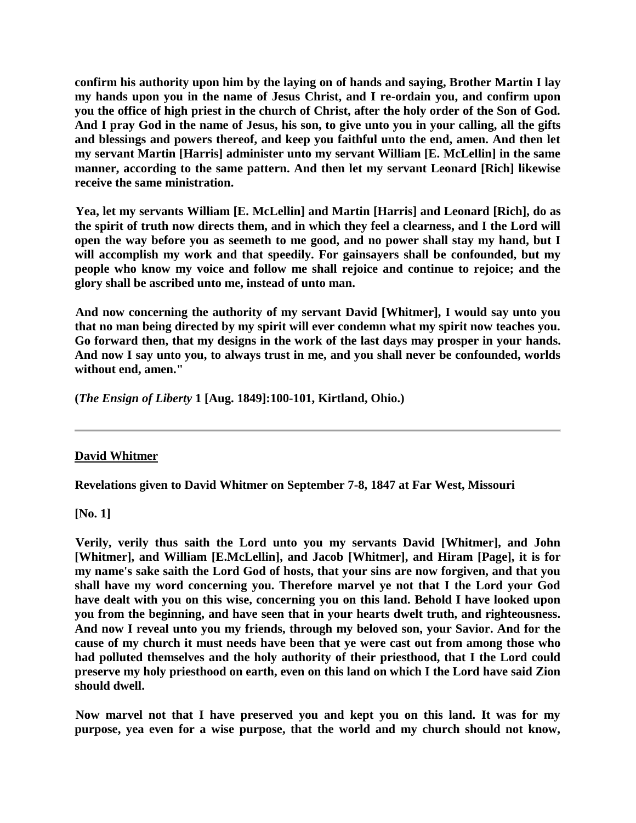**confirm his authority upon him by the laying on of hands and saying, Brother Martin I lay my hands upon you in the name of Jesus Christ, and I re-ordain you, and confirm upon you the office of high priest in the church of Christ, after the holy order of the Son of God. And I pray God in the name of Jesus, his son, to give unto you in your calling, all the gifts and blessings and powers thereof, and keep you faithful unto the end, amen. And then let my servant Martin [Harris] administer unto my servant William [E. McLellin] in the same manner, according to the same pattern. And then let my servant Leonard [Rich] likewise receive the same ministration.** 

**Yea, let my servants William [E. McLellin] and Martin [Harris] and Leonard [Rich], do as the spirit of truth now directs them, and in which they feel a clearness, and I the Lord will open the way before you as seemeth to me good, and no power shall stay my hand, but I will accomplish my work and that speedily. For gainsayers shall be confounded, but my people who know my voice and follow me shall rejoice and continue to rejoice; and the glory shall be ascribed unto me, instead of unto man.** 

**And now concerning the authority of my servant David [Whitmer], I would say unto you that no man being directed by my spirit will ever condemn what my spirit now teaches you. Go forward then, that my designs in the work of the last days may prosper in your hands. And now I say unto you, to always trust in me, and you shall never be confounded, worlds without end, amen."** 

**(***The Ensign of Liberty* **1 [Aug. 1849]:100-101, Kirtland, Ohio.)** 

### **David Whitmer**

**Revelations given to David Whitmer on September 7-8, 1847 at Far West, Missouri** 

**[No. 1]** 

**Verily, verily thus saith the Lord unto you my servants David [Whitmer], and John [Whitmer], and William [E.McLellin], and Jacob [Whitmer], and Hiram [Page], it is for my name's sake saith the Lord God of hosts, that your sins are now forgiven, and that you shall have my word concerning you. Therefore marvel ye not that I the Lord your God have dealt with you on this wise, concerning you on this land. Behold I have looked upon you from the beginning, and have seen that in your hearts dwelt truth, and righteousness. And now I reveal unto you my friends, through my beloved son, your Savior. And for the cause of my church it must needs have been that ye were cast out from among those who had polluted themselves and the holy authority of their priesthood, that I the Lord could preserve my holy priesthood on earth, even on this land on which I the Lord have said Zion should dwell.** 

**Now marvel not that I have preserved you and kept you on this land. It was for my purpose, yea even for a wise purpose, that the world and my church should not know,**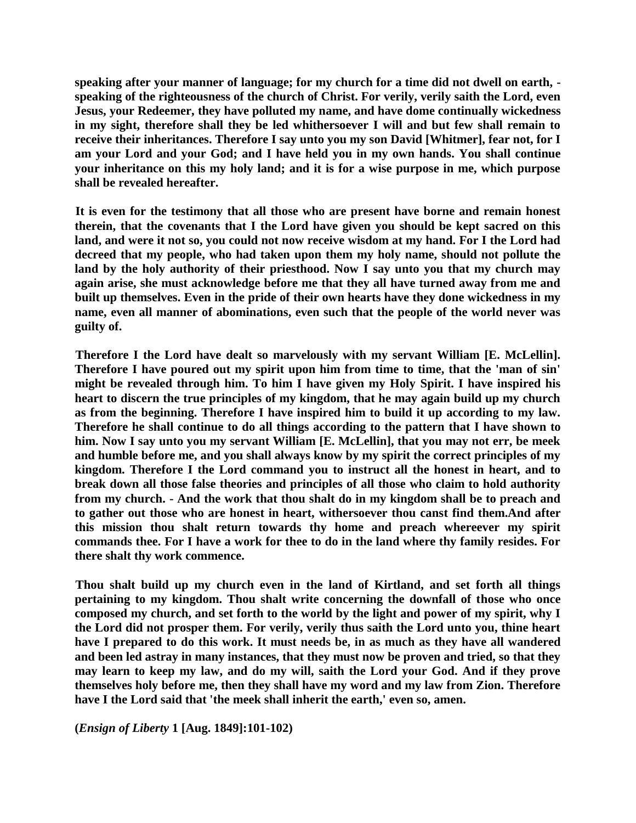**speaking after your manner of language; for my church for a time did not dwell on earth, speaking of the righteousness of the church of Christ. For verily, verily saith the Lord, even Jesus, your Redeemer, they have polluted my name, and have dome continually wickedness in my sight, therefore shall they be led whithersoever I will and but few shall remain to receive their inheritances. Therefore I say unto you my son David [Whitmer], fear not, for I am your Lord and your God; and I have held you in my own hands. You shall continue your inheritance on this my holy land; and it is for a wise purpose in me, which purpose shall be revealed hereafter.** 

**It is even for the testimony that all those who are present have borne and remain honest therein, that the covenants that I the Lord have given you should be kept sacred on this land, and were it not so, you could not now receive wisdom at my hand. For I the Lord had decreed that my people, who had taken upon them my holy name, should not pollute the land by the holy authority of their priesthood. Now I say unto you that my church may again arise, she must acknowledge before me that they all have turned away from me and built up themselves. Even in the pride of their own hearts have they done wickedness in my name, even all manner of abominations, even such that the people of the world never was guilty of.** 

**Therefore I the Lord have dealt so marvelously with my servant William [E. McLellin]. Therefore I have poured out my spirit upon him from time to time, that the 'man of sin' might be revealed through him. To him I have given my Holy Spirit. I have inspired his heart to discern the true principles of my kingdom, that he may again build up my church as from the beginning. Therefore I have inspired him to build it up according to my law. Therefore he shall continue to do all things according to the pattern that I have shown to him. Now I say unto you my servant William [E. McLellin], that you may not err, be meek and humble before me, and you shall always know by my spirit the correct principles of my kingdom. Therefore I the Lord command you to instruct all the honest in heart, and to break down all those false theories and principles of all those who claim to hold authority from my church. - And the work that thou shalt do in my kingdom shall be to preach and to gather out those who are honest in heart, withersoever thou canst find them.And after this mission thou shalt return towards thy home and preach whereever my spirit commands thee. For I have a work for thee to do in the land where thy family resides. For there shalt thy work commence.** 

**Thou shalt build up my church even in the land of Kirtland, and set forth all things pertaining to my kingdom. Thou shalt write concerning the downfall of those who once composed my church, and set forth to the world by the light and power of my spirit, why I the Lord did not prosper them. For verily, verily thus saith the Lord unto you, thine heart have I prepared to do this work. It must needs be, in as much as they have all wandered and been led astray in many instances, that they must now be proven and tried, so that they may learn to keep my law, and do my will, saith the Lord your God. And if they prove themselves holy before me, then they shall have my word and my law from Zion. Therefore have I the Lord said that 'the meek shall inherit the earth,' even so, amen.** 

**(***Ensign of Liberty* **1 [Aug. 1849]:101-102)**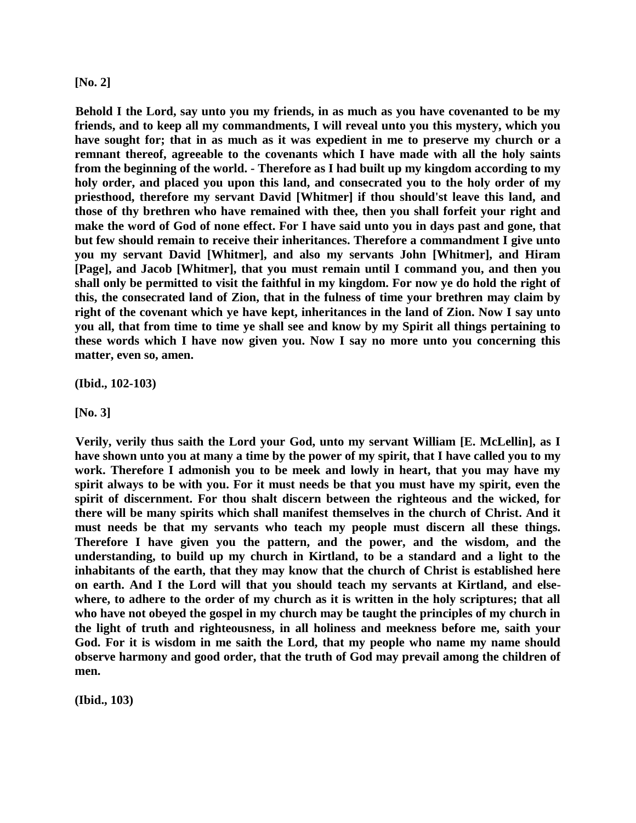#### **[No. 2]**

**Behold I the Lord, say unto you my friends, in as much as you have covenanted to be my friends, and to keep all my commandments, I will reveal unto you this mystery, which you have sought for; that in as much as it was expedient in me to preserve my church or a remnant thereof, agreeable to the covenants which I have made with all the holy saints from the beginning of the world. - Therefore as I had built up my kingdom according to my holy order, and placed you upon this land, and consecrated you to the holy order of my priesthood, therefore my servant David [Whitmer] if thou should'st leave this land, and those of thy brethren who have remained with thee, then you shall forfeit your right and make the word of God of none effect. For I have said unto you in days past and gone, that but few should remain to receive their inheritances. Therefore a commandment I give unto you my servant David [Whitmer], and also my servants John [Whitmer], and Hiram [Page], and Jacob [Whitmer], that you must remain until I command you, and then you shall only be permitted to visit the faithful in my kingdom. For now ye do hold the right of this, the consecrated land of Zion, that in the fulness of time your brethren may claim by right of the covenant which ye have kept, inheritances in the land of Zion. Now I say unto you all, that from time to time ye shall see and know by my Spirit all things pertaining to these words which I have now given you. Now I say no more unto you concerning this matter, even so, amen.** 

**(Ibid., 102-103)** 

**[No. 3]** 

**Verily, verily thus saith the Lord your God, unto my servant William [E. McLellin], as I have shown unto you at many a time by the power of my spirit, that I have called you to my work. Therefore I admonish you to be meek and lowly in heart, that you may have my spirit always to be with you. For it must needs be that you must have my spirit, even the spirit of discernment. For thou shalt discern between the righteous and the wicked, for there will be many spirits which shall manifest themselves in the church of Christ. And it must needs be that my servants who teach my people must discern all these things. Therefore I have given you the pattern, and the power, and the wisdom, and the understanding, to build up my church in Kirtland, to be a standard and a light to the inhabitants of the earth, that they may know that the church of Christ is established here on earth. And I the Lord will that you should teach my servants at Kirtland, and elsewhere, to adhere to the order of my church as it is written in the holy scriptures; that all who have not obeyed the gospel in my church may be taught the principles of my church in the light of truth and righteousness, in all holiness and meekness before me, saith your God. For it is wisdom in me saith the Lord, that my people who name my name should observe harmony and good order, that the truth of God may prevail among the children of men.** 

**(Ibid., 103)**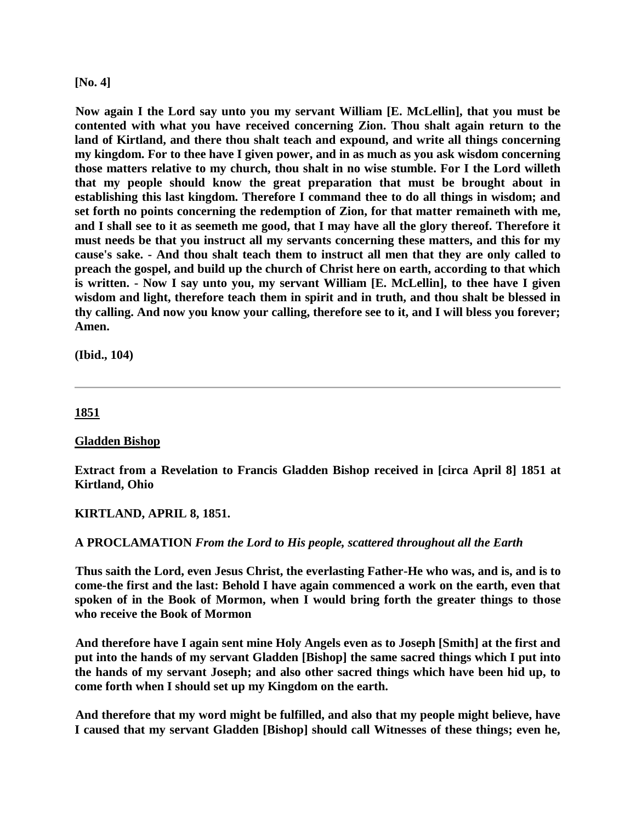#### **[No. 4]**

**Now again I the Lord say unto you my servant William [E. McLellin], that you must be contented with what you have received concerning Zion. Thou shalt again return to the land of Kirtland, and there thou shalt teach and expound, and write all things concerning my kingdom. For to thee have I given power, and in as much as you ask wisdom concerning those matters relative to my church, thou shalt in no wise stumble. For I the Lord willeth that my people should know the great preparation that must be brought about in establishing this last kingdom. Therefore I command thee to do all things in wisdom; and set forth no points concerning the redemption of Zion, for that matter remaineth with me, and I shall see to it as seemeth me good, that I may have all the glory thereof. Therefore it must needs be that you instruct all my servants concerning these matters, and this for my cause's sake. - And thou shalt teach them to instruct all men that they are only called to preach the gospel, and build up the church of Christ here on earth, according to that which is written. - Now I say unto you, my servant William [E. McLellin], to thee have I given wisdom and light, therefore teach them in spirit and in truth, and thou shalt be blessed in thy calling. And now you know your calling, therefore see to it, and I will bless you forever; Amen.** 

**(Ibid., 104)** 

### **1851**

### **Gladden Bishop**

**Extract from a Revelation to Francis Gladden Bishop received in [circa April 8] 1851 at Kirtland, Ohio** 

**KIRTLAND, APRIL 8, 1851.** 

### **A PROCLAMATION** *From the Lord to His people, scattered throughout all the Earth*

**Thus saith the Lord, even Jesus Christ, the everlasting Father-He who was, and is, and is to come-the first and the last: Behold I have again commenced a work on the earth, even that spoken of in the Book of Mormon, when I would bring forth the greater things to those who receive the Book of Mormon** 

**And therefore have I again sent mine Holy Angels even as to Joseph [Smith] at the first and put into the hands of my servant Gladden [Bishop] the same sacred things which I put into the hands of my servant Joseph; and also other sacred things which have been hid up, to come forth when I should set up my Kingdom on the earth.** 

**And therefore that my word might be fulfilled, and also that my people might believe, have I caused that my servant Gladden [Bishop] should call Witnesses of these things; even he,**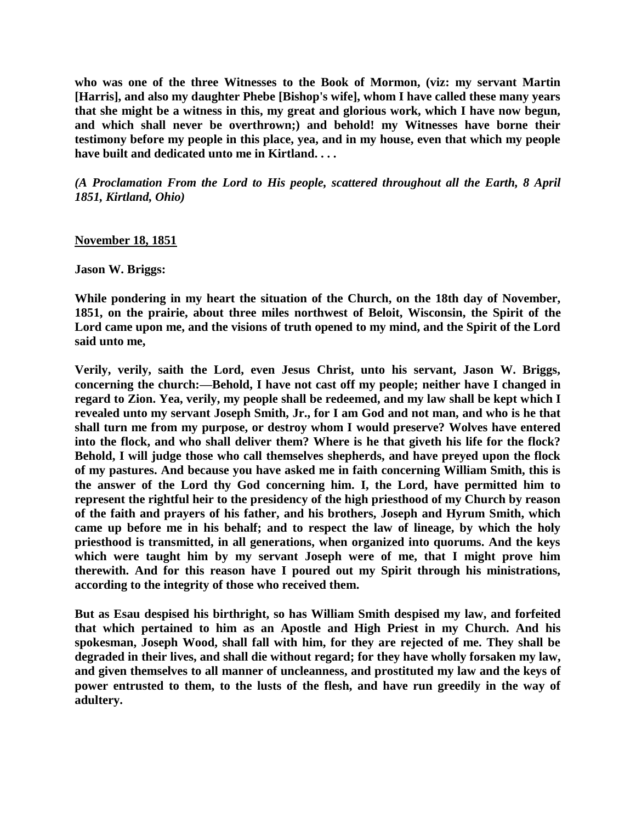**who was one of the three Witnesses to the Book of Mormon, (viz: my servant Martin [Harris], and also my daughter Phebe [Bishop's wife], whom I have called these many years that she might be a witness in this, my great and glorious work, which I have now begun, and which shall never be overthrown;) and behold! my Witnesses have borne their testimony before my people in this place, yea, and in my house, even that which my people have built and dedicated unto me in Kirtland. . . .** 

*(A Proclamation From the Lord to His people, scattered throughout all the Earth, 8 April 1851, Kirtland, Ohio)*

#### **November 18, 1851**

**Jason W. Briggs:**

**While pondering in my heart the situation of the Church, on the 18th day of November, 1851, on the prairie, about three miles northwest of Beloit, Wisconsin, the Spirit of the Lord came upon me, and the visions of truth opened to my mind, and the Spirit of the Lord said unto me,**

**Verily, verily, saith the Lord, even Jesus Christ, unto his servant, Jason W. Briggs, concerning the church:—Behold, I have not cast off my people; neither have I changed in regard to Zion. Yea, verily, my people shall be redeemed, and my law shall be kept which I revealed unto my servant Joseph Smith, Jr., for I am God and not man, and who is he that shall turn me from my purpose, or destroy whom I would preserve? Wolves have entered into the flock, and who shall deliver them? Where is he that giveth his life for the flock? Behold, I will judge those who call themselves shepherds, and have preyed upon the flock of my pastures. And because you have asked me in faith concerning William Smith, this is the answer of the Lord thy God concerning him. I, the Lord, have permitted him to represent the rightful heir to the presidency of the high priesthood of my Church by reason of the faith and prayers of his father, and his brothers, Joseph and Hyrum Smith, which came up before me in his behalf; and to respect the law of lineage, by which the holy priesthood is transmitted, in all generations, when organized into quorums. And the keys which were taught him by my servant Joseph were of me, that I might prove him therewith. And for this reason have I poured out my Spirit through his ministrations, according to the integrity of those who received them.**

**But as Esau despised his birthright, so has William Smith despised my law, and forfeited that which pertained to him as an Apostle and High Priest in my Church. And his spokesman, Joseph Wood, shall fall with him, for they are rejected of me. They shall be degraded in their lives, and shall die without regard; for they have wholly forsaken my law, and given themselves to all manner of uncleanness, and prostituted my law and the keys of power entrusted to them, to the lusts of the flesh, and have run greedily in the way of adultery.**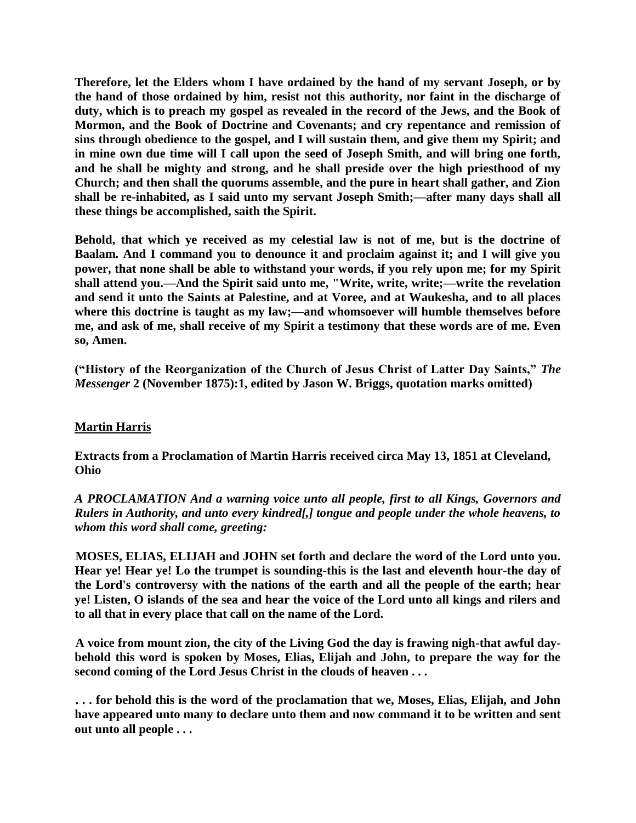**Therefore, let the Elders whom I have ordained by the hand of my servant Joseph, or by the hand of those ordained by him, resist not this authority, nor faint in the discharge of duty, which is to preach my gospel as revealed in the record of the Jews, and the Book of Mormon, and the Book of Doctrine and Covenants; and cry repentance and remission of sins through obedience to the gospel, and I will sustain them, and give them my Spirit; and in mine own due time will I call upon the seed of Joseph Smith, and will bring one forth, and he shall be mighty and strong, and he shall preside over the high priesthood of my Church; and then shall the quorums assemble, and the pure in heart shall gather, and Zion shall be re-inhabited, as I said unto my servant Joseph Smith;—after many days shall all these things be accomplished, saith the Spirit.** 

**Behold, that which ye received as my celestial law is not of me, but is the doctrine of Baalam. And I command you to denounce it and proclaim against it; and I will give you power, that none shall be able to withstand your words, if you rely upon me; for my Spirit shall attend you.—And the Spirit said unto me, "Write, write, write;—write the revelation and send it unto the Saints at Palestine, and at Voree, and at Waukesha, and to all places where this doctrine is taught as my law;—and whomsoever will humble themselves before me, and ask of me, shall receive of my Spirit a testimony that these words are of me. Even so, Amen.**

("History of the Reorganization of the Church of Jesus Christ of Latter Day Saints," *The Messenger* **2 (November 1875):1, edited by Jason W. Briggs, quotation marks omitted)**

# **Martin Harris**

**Extracts from a Proclamation of Martin Harris received circa May 13, 1851 at Cleveland, Ohio** 

*A PROCLAMATION And a warning voice unto all people, first to all Kings, Governors and Rulers in Authority, and unto every kindred[,] tongue and people under the whole heavens, to whom this word shall come, greeting:*

**MOSES, ELIAS, ELIJAH and JOHN set forth and declare the word of the Lord unto you. Hear ye! Hear ye! Lo the trumpet is sounding-this is the last and eleventh hour-the day of the Lord's controversy with the nations of the earth and all the people of the earth; hear ye! Listen, O islands of the sea and hear the voice of the Lord unto all kings and rilers and to all that in every place that call on the name of the Lord.** 

**A voice from mount zion, the city of the Living God the day is frawing nigh-that awful daybehold this word is spoken by Moses, Elias, Elijah and John, to prepare the way for the second coming of the Lord Jesus Christ in the clouds of heaven . . .** 

**. . . for behold this is the word of the proclamation that we, Moses, Elias, Elijah, and John have appeared unto many to declare unto them and now command it to be written and sent out unto all people . . .**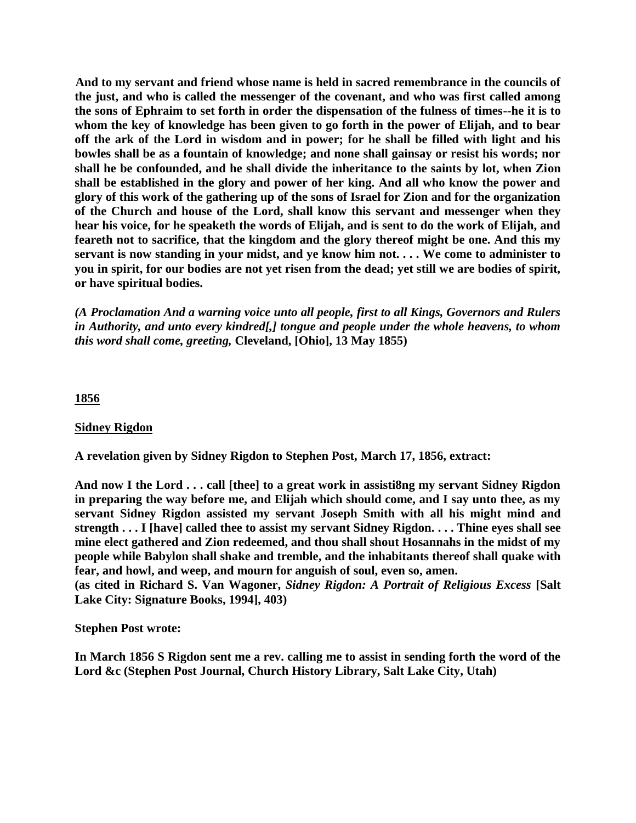**And to my servant and friend whose name is held in sacred remembrance in the councils of the just, and who is called the messenger of the covenant, and who was first called among the sons of Ephraim to set forth in order the dispensation of the fulness of times--he it is to whom the key of knowledge has been given to go forth in the power of Elijah, and to bear off the ark of the Lord in wisdom and in power; for he shall be filled with light and his bowles shall be as a fountain of knowledge; and none shall gainsay or resist his words; nor shall he be confounded, and he shall divide the inheritance to the saints by lot, when Zion shall be established in the glory and power of her king. And all who know the power and glory of this work of the gathering up of the sons of Israel for Zion and for the organization of the Church and house of the Lord, shall know this servant and messenger when they hear his voice, for he speaketh the words of Elijah, and is sent to do the work of Elijah, and feareth not to sacrifice, that the kingdom and the glory thereof might be one. And this my servant is now standing in your midst, and ye know him not. . . . We come to administer to you in spirit, for our bodies are not yet risen from the dead; yet still we are bodies of spirit, or have spiritual bodies.** 

*(A Proclamation And a warning voice unto all people, first to all Kings, Governors and Rulers in Authority, and unto every kindred[,] tongue and people under the whole heavens, to whom this word shall come, greeting,* **Cleveland, [Ohio], 13 May 1855)** 

## **1856**

### **Sidney Rigdon**

**A revelation given by Sidney Rigdon to Stephen Post, March 17, 1856, extract:**

**And now I the Lord . . . call [thee] to a great work in assisti8ng my servant Sidney Rigdon in preparing the way before me, and Elijah which should come, and I say unto thee, as my servant Sidney Rigdon assisted my servant Joseph Smith with all his might mind and strength . . . I [have] called thee to assist my servant Sidney Rigdon. . . . Thine eyes shall see mine elect gathered and Zion redeemed, and thou shall shout Hosannahs in the midst of my people while Babylon shall shake and tremble, and the inhabitants thereof shall quake with fear, and howl, and weep, and mourn for anguish of soul, even so, amen.**

**(as cited in Richard S. Van Wagoner,** *Sidney Rigdon: A Portrait of Religious Excess* **[Salt Lake City: Signature Books, 1994], 403)**

**Stephen Post wrote:**

**In March 1856 S Rigdon sent me a rev. calling me to assist in sending forth the word of the Lord &c (Stephen Post Journal, Church History Library, Salt Lake City, Utah)**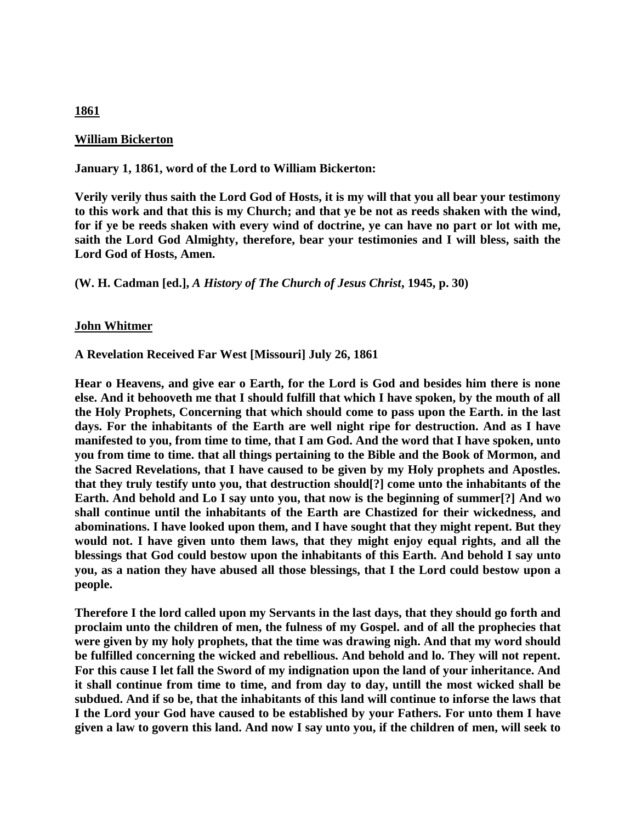### **William Bickerton**

**January 1, 1861, word of the Lord to William Bickerton:**

**Verily verily thus saith the Lord God of Hosts, it is my will that you all bear your testimony to this work and that this is my Church; and that ye be not as reeds shaken with the wind, for if ye be reeds shaken with every wind of doctrine, ye can have no part or lot with me, saith the Lord God Almighty, therefore, bear your testimonies and I will bless, saith the Lord God of Hosts, Amen.**

**(W. H. Cadman [ed.],** *A History of The Church of Jesus Christ***, 1945, p. 30)**

### **John Whitmer**

**A Revelation Received Far West [Missouri] July 26, 1861**

**Hear o Heavens, and give ear o Earth, for the Lord is God and besides him there is none else. And it behooveth me that I should fulfill that which I have spoken, by the mouth of all the Holy Prophets, Concerning that which should come to pass upon the Earth. in the last days. For the inhabitants of the Earth are well night ripe for destruction. And as I have manifested to you, from time to time, that I am God. And the word that I have spoken, unto you from time to time. that all things pertaining to the Bible and the Book of Mormon, and the Sacred Revelations, that I have caused to be given by my Holy prophets and Apostles. that they truly testify unto you, that destruction should[?] come unto the inhabitants of the Earth. And behold and Lo I say unto you, that now is the beginning of summer[?] And wo shall continue until the inhabitants of the Earth are Chastized for their wickedness, and abominations. I have looked upon them, and I have sought that they might repent. But they would not. I have given unto them laws, that they might enjoy equal rights, and all the blessings that God could bestow upon the inhabitants of this Earth. And behold I say unto you, as a nation they have abused all those blessings, that I the Lord could bestow upon a people.** 

**Therefore I the lord called upon my Servants in the last days, that they should go forth and proclaim unto the children of men, the fulness of my Gospel. and of all the prophecies that were given by my holy prophets, that the time was drawing nigh. And that my word should be fulfilled concerning the wicked and rebellious. And behold and lo. They will not repent. For this cause I let fall the Sword of my indignation upon the land of your inheritance. And it shall continue from time to time, and from day to day, untill the most wicked shall be subdued. And if so be, that the inhabitants of this land will continue to inforse the laws that I the Lord your God have caused to be established by your Fathers. For unto them I have given a law to govern this land. And now I say unto you, if the children of men, will seek to** 

### **1861**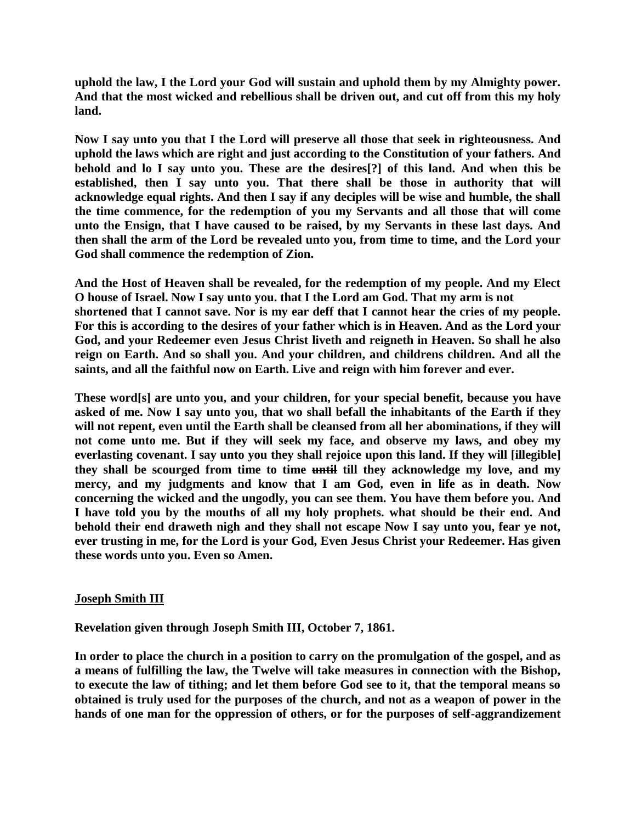**uphold the law, I the Lord your God will sustain and uphold them by my Almighty power. And that the most wicked and rebellious shall be driven out, and cut off from this my holy land.**

**Now I say unto you that I the Lord will preserve all those that seek in righteousness. And uphold the laws which are right and just according to the Constitution of your fathers. And behold and lo I say unto you. These are the desires[?] of this land. And when this be established, then I say unto you. That there shall be those in authority that will acknowledge equal rights. And then I say if any deciples will be wise and humble, the shall the time commence, for the redemption of you my Servants and all those that will come unto the Ensign, that I have caused to be raised, by my Servants in these last days. And then shall the arm of the Lord be revealed unto you, from time to time, and the Lord your God shall commence the redemption of Zion.**

**And the Host of Heaven shall be revealed, for the redemption of my people. And my Elect O house of Israel. Now I say unto you. that I the Lord am God. That my arm is not shortened that I cannot save. Nor is my ear deff that I cannot hear the cries of my people. For this is according to the desires of your father which is in Heaven. And as the Lord your God, and your Redeemer even Jesus Christ liveth and reigneth in Heaven. So shall he also reign on Earth. And so shall you. And your children, and childrens children. And all the saints, and all the faithful now on Earth. Live and reign with him forever and ever.**

**These word[s] are unto you, and your children, for your special benefit, because you have asked of me. Now I say unto you, that wo shall befall the inhabitants of the Earth if they will not repent, even until the Earth shall be cleansed from all her abominations, if they will not come unto me. But if they will seek my face, and observe my laws, and obey my everlasting covenant. I say unto you they shall rejoice upon this land. If they will [illegible] they shall be scourged from time to time until till they acknowledge my love, and my mercy, and my judgments and know that I am God, even in life as in death. Now concerning the wicked and the ungodly, you can see them. You have them before you. And I have told you by the mouths of all my holy prophets. what should be their end. And behold their end draweth nigh and they shall not escape Now I say unto you, fear ye not, ever trusting in me, for the Lord is your God, Even Jesus Christ your Redeemer. Has given these words unto you. Even so Amen.**

### **Joseph Smith III**

**Revelation given through Joseph Smith III, October 7, 1861.**

**In order to place the church in a position to carry on the promulgation of the gospel, and as a means of fulfilling the law, the Twelve will take measures in connection with the Bishop, to execute the law of tithing; and let them before God see to it, that the temporal means so obtained is truly used for the purposes of the church, and not as a weapon of power in the hands of one man for the oppression of others, or for the purposes of self-aggrandizement**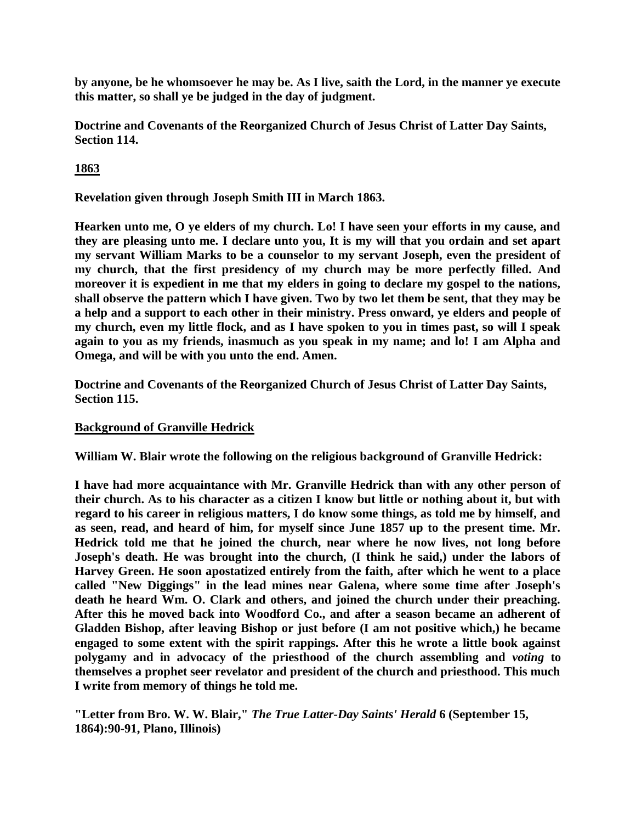**by anyone, be he whomsoever he may be. As I live, saith the Lord, in the manner ye execute this matter, so shall ye be judged in the day of judgment.**

**Doctrine and Covenants of the Reorganized Church of Jesus Christ of Latter Day Saints, Section 114.**

**1863**

**Revelation given through Joseph Smith III in March 1863.**

**Hearken unto me, O ye elders of my church. Lo! I have seen your efforts in my cause, and they are pleasing unto me. I declare unto you, It is my will that you ordain and set apart my servant William Marks to be a counselor to my servant Joseph, even the president of my church, that the first presidency of my church may be more perfectly filled. And moreover it is expedient in me that my elders in going to declare my gospel to the nations, shall observe the pattern which I have given. Two by two let them be sent, that they may be a help and a support to each other in their ministry. Press onward, ye elders and people of my church, even my little flock, and as I have spoken to you in times past, so will I speak again to you as my friends, inasmuch as you speak in my name; and lo! I am Alpha and Omega, and will be with you unto the end. Amen.**

**Doctrine and Covenants of the Reorganized Church of Jesus Christ of Latter Day Saints, Section 115.**

# **Background of Granville Hedrick**

**William W. Blair wrote the following on the religious background of Granville Hedrick:**

**I have had more acquaintance with Mr. Granville Hedrick than with any other person of their church. As to his character as a citizen I know but little or nothing about it, but with regard to his career in religious matters, I do know some things, as told me by himself, and as seen, read, and heard of him, for myself since June 1857 up to the present time. Mr. Hedrick told me that he joined the church, near where he now lives, not long before Joseph's death. He was brought into the church, (I think he said,) under the labors of Harvey Green. He soon apostatized entirely from the faith, after which he went to a place called "New Diggings" in the lead mines near Galena, where some time after Joseph's death he heard Wm. O. Clark and others, and joined the church under their preaching. After this he moved back into Woodford Co., and after a season became an adherent of Gladden Bishop, after leaving Bishop or just before (I am not positive which,) he became engaged to some extent with the spirit rappings. After this he wrote a little book against polygamy and in advocacy of the priesthood of the church assembling and** *voting* **to themselves a prophet seer revelator and president of the church and priesthood. This much I write from memory of things he told me.**

**"Letter from Bro. W. W. Blair,"** *The True Latter-Day Saints' Herald* **6 (September 15, 1864):90-91, Plano, Illinois)**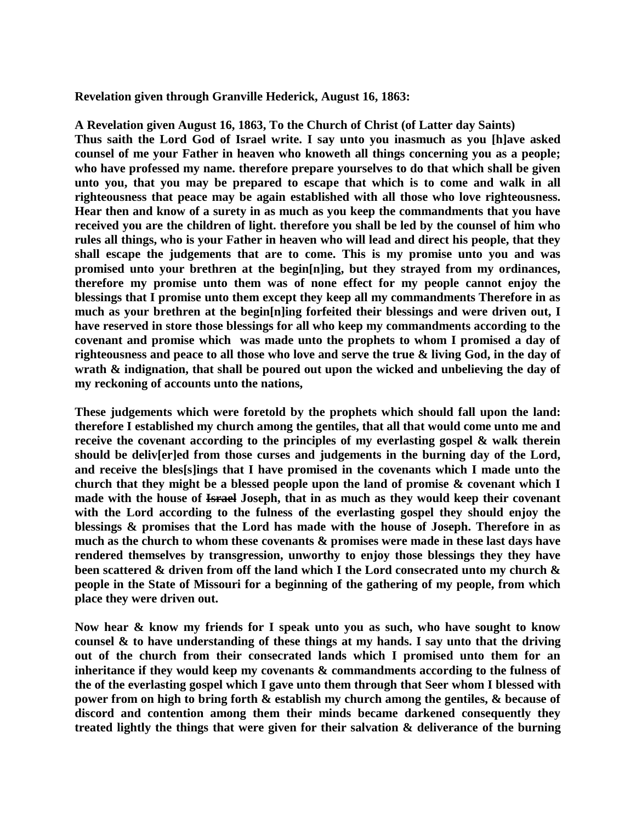**Revelation given through Granville Hederick, August 16, 1863:**

**A Revelation given August 16, 1863, To the Church of Christ (of Latter day Saints) Thus saith the Lord God of Israel write. I say unto you inasmuch as you [h]ave asked counsel of me your Father in heaven who knoweth all things concerning you as a people; who have professed my name. therefore prepare yourselves to do that which shall be given unto you, that you may be prepared to escape that which is to come and walk in all righteousness that peace may be again established with all those who love righteousness. Hear then and know of a surety in as much as you keep the commandments that you have received you are the children of light. therefore you shall be led by the counsel of him who rules all things, who is your Father in heaven who will lead and direct his people, that they shall escape the judgements that are to come. This is my promise unto you and was promised unto your brethren at the begin[n]ing, but they strayed from my ordinances, therefore my promise unto them was of none effect for my people cannot enjoy the blessings that I promise unto them except they keep all my commandments Therefore in as much as your brethren at the begin[n]ing forfeited their blessings and were driven out, I have reserved in store those blessings for all who keep my commandments according to the covenant and promise which was made unto the prophets to whom I promised a day of righteousness and peace to all those who love and serve the true & living God, in the day of wrath & indignation, that shall be poured out upon the wicked and unbelieving the day of my reckoning of accounts unto the nations,** 

**These judgements which were foretold by the prophets which should fall upon the land: therefore I established my church among the gentiles, that all that would come unto me and receive the covenant according to the principles of my everlasting gospel & walk therein should be deliv[er]ed from those curses and judgements in the burning day of the Lord, and receive the bles[s]ings that I have promised in the covenants which I made unto the church that they might be a blessed people upon the land of promise & covenant which I made with the house of Israel Joseph, that in as much as they would keep their covenant with the Lord according to the fulness of the everlasting gospel they should enjoy the blessings & promises that the Lord has made with the house of Joseph. Therefore in as much as the church to whom these covenants & promises were made in these last days have rendered themselves by transgression, unworthy to enjoy those blessings they they have been scattered & driven from off the land which I the Lord consecrated unto my church & people in the State of Missouri for a beginning of the gathering of my people, from which place they were driven out.** 

**Now hear & know my friends for I speak unto you as such, who have sought to know counsel & to have understanding of these things at my hands. I say unto that the driving out of the church from their consecrated lands which I promised unto them for an inheritance if they would keep my covenants & commandments according to the fulness of the of the everlasting gospel which I gave unto them through that Seer whom I blessed with power from on high to bring forth & establish my church among the gentiles, & because of discord and contention among them their minds became darkened consequently they treated lightly the things that were given for their salvation & deliverance of the burning**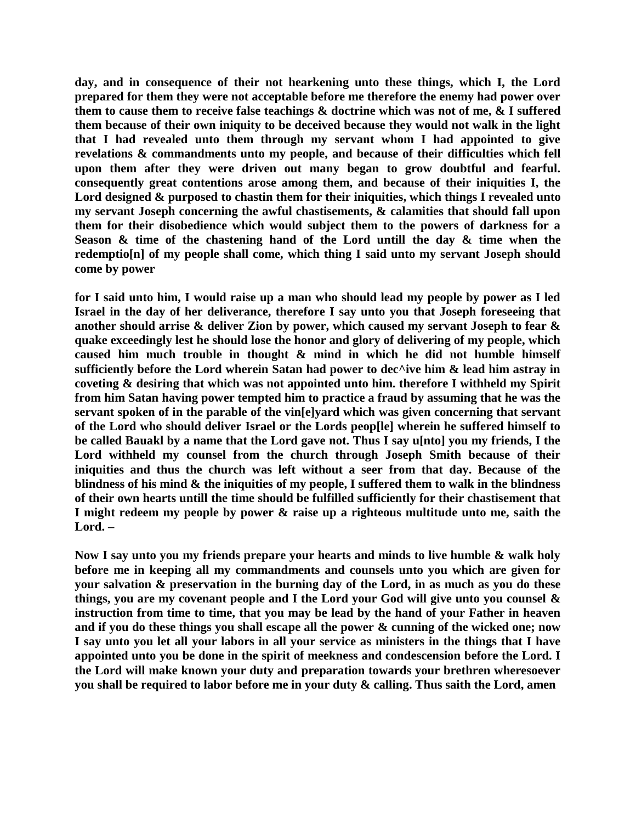**day, and in consequence of their not hearkening unto these things, which I, the Lord prepared for them they were not acceptable before me therefore the enemy had power over them to cause them to receive false teachings & doctrine which was not of me, & I suffered them because of their own iniquity to be deceived because they would not walk in the light that I had revealed unto them through my servant whom I had appointed to give revelations & commandments unto my people, and because of their difficulties which fell upon them after they were driven out many began to grow doubtful and fearful. consequently great contentions arose among them, and because of their iniquities I, the**  Lord designed  $\&$  purposed to chastin them for their iniquities, which things I revealed unto **my servant Joseph concerning the awful chastisements, & calamities that should fall upon them for their disobedience which would subject them to the powers of darkness for a Season & time of the chastening hand of the Lord untill the day & time when the redemptio[n] of my people shall come, which thing I said unto my servant Joseph should come by power** 

**for I said unto him, I would raise up a man who should lead my people by power as I led Israel in the day of her deliverance, therefore I say unto you that Joseph foreseeing that another should arrise & deliver Zion by power, which caused my servant Joseph to fear & quake exceedingly lest he should lose the honor and glory of delivering of my people, which caused him much trouble in thought & mind in which he did not humble himself sufficiently before the Lord wherein Satan had power to dec^ive him & lead him astray in coveting & desiring that which was not appointed unto him. therefore I withheld my Spirit from him Satan having power tempted him to practice a fraud by assuming that he was the servant spoken of in the parable of the vin[e]yard which was given concerning that servant of the Lord who should deliver Israel or the Lords peop[le] wherein he suffered himself to be called Bauakl by a name that the Lord gave not. Thus I say u[nto] you my friends, I the Lord withheld my counsel from the church through Joseph Smith because of their iniquities and thus the church was left without a seer from that day. Because of the blindness of his mind & the iniquities of my people, I suffered them to walk in the blindness of their own hearts untill the time should be fulfilled sufficiently for their chastisement that I might redeem my people by power & raise up a righteous multitude unto me, saith the Lord. –**

**Now I say unto you my friends prepare your hearts and minds to live humble & walk holy before me in keeping all my commandments and counsels unto you which are given for your salvation & preservation in the burning day of the Lord, in as much as you do these things, you are my covenant people and I the Lord your God will give unto you counsel & instruction from time to time, that you may be lead by the hand of your Father in heaven and if you do these things you shall escape all the power & cunning of the wicked one; now I say unto you let all your labors in all your service as ministers in the things that I have appointed unto you be done in the spirit of meekness and condescension before the Lord. I the Lord will make known your duty and preparation towards your brethren wheresoever you shall be required to labor before me in your duty & calling. Thus saith the Lord, amen**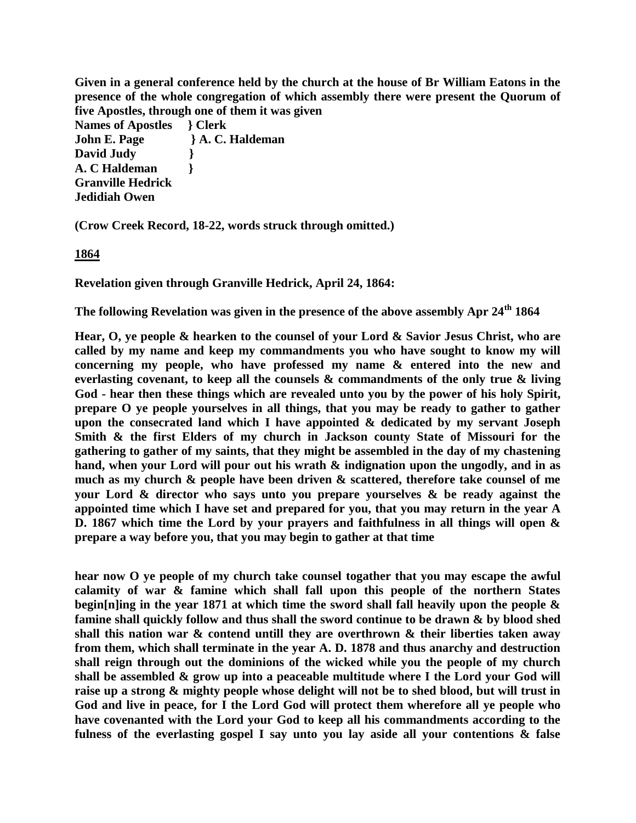**Given in a general conference held by the church at the house of Br William Eatons in the presence of the whole congregation of which assembly there were present the Quorum of five Apostles, through one of them it was given**

**Names of Apostles } Clerk John E. Page } A. C. Haldeman David Judy } A. C Haldeman } Granville Hedrick Jedidiah Owen**

**(Crow Creek Record, 18-22, words struck through omitted.)**

**1864**

**Revelation given through Granville Hedrick, April 24, 1864:**

**The following Revelation was given in the presence of the above assembly Apr 24th 1864**

**Hear, O, ye people & hearken to the counsel of your Lord & Savior Jesus Christ, who are called by my name and keep my commandments you who have sought to know my will concerning my people, who have professed my name & entered into the new and everlasting covenant, to keep all the counsels & commandments of the only true & living God - hear then these things which are revealed unto you by the power of his holy Spirit, prepare O ye people yourselves in all things, that you may be ready to gather to gather upon the consecrated land which I have appointed & dedicated by my servant Joseph Smith & the first Elders of my church in Jackson county State of Missouri for the gathering to gather of my saints, that they might be assembled in the day of my chastening**  hand, when your Lord will pour out his wrath  $\&$  indignation upon the ungodly, and in as **much as my church & people have been driven & scattered, therefore take counsel of me your Lord & director who says unto you prepare yourselves & be ready against the appointed time which I have set and prepared for you, that you may return in the year A D. 1867 which time the Lord by your prayers and faithfulness in all things will open & prepare a way before you, that you may begin to gather at that time**

**hear now O ye people of my church take counsel togather that you may escape the awful calamity of war & famine which shall fall upon this people of the northern States begin[n]ing in the year 1871 at which time the sword shall fall heavily upon the people & famine shall quickly follow and thus shall the sword continue to be drawn & by blood shed shall this nation war & contend untill they are overthrown & their liberties taken away from them, which shall terminate in the year A. D. 1878 and thus anarchy and destruction shall reign through out the dominions of the wicked while you the people of my church shall be assembled & grow up into a peaceable multitude where I the Lord your God will raise up a strong & mighty people whose delight will not be to shed blood, but will trust in God and live in peace, for I the Lord God will protect them wherefore all ye people who have covenanted with the Lord your God to keep all his commandments according to the fulness of the everlasting gospel I say unto you lay aside all your contentions & false**